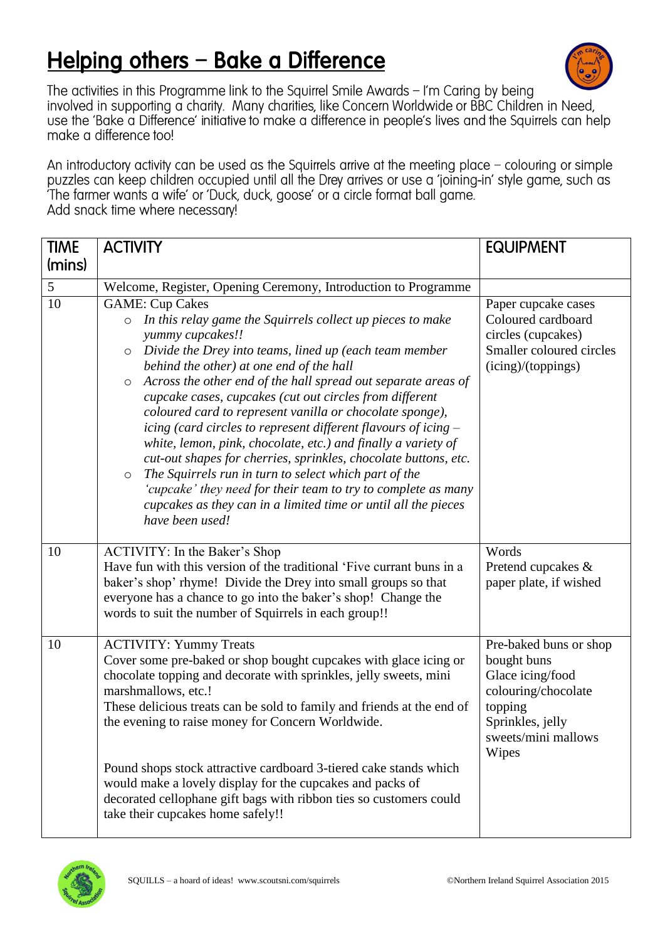## Helping others - Bake a Difference



The activities in this Programme link to the Squirrel Smile Awards  $-$  I'm Caring by being involved in supporting a charity. Many charities, like Concern Worldwide or BBC Children in Need, use the 'Bake a Difference' initiative to make a difference in people's lives and the Squirrels can help make a difference too!

An introductory activity can be used as the Squirrels arrive at the meeting place - colouring or simple puzzles can keep children occupied until all the Drey arrives or use a 'joining-in' style game, such as The farmer wants a wife' or 'Duck, duck, goose' or a circle format ball game. Add snack time where necessary!

| <b>TIME</b> | <b>ACTIVITY</b>                                                                                                                                                                                                                                                                                                                                                                                                                                                                                                                                                                                                                                                                                                                                                                                                                                                         | <b>EQUIPMENT</b>                                                                                                                                |
|-------------|-------------------------------------------------------------------------------------------------------------------------------------------------------------------------------------------------------------------------------------------------------------------------------------------------------------------------------------------------------------------------------------------------------------------------------------------------------------------------------------------------------------------------------------------------------------------------------------------------------------------------------------------------------------------------------------------------------------------------------------------------------------------------------------------------------------------------------------------------------------------------|-------------------------------------------------------------------------------------------------------------------------------------------------|
| (mins)      |                                                                                                                                                                                                                                                                                                                                                                                                                                                                                                                                                                                                                                                                                                                                                                                                                                                                         |                                                                                                                                                 |
| 5           | Welcome, Register, Opening Ceremony, Introduction to Programme                                                                                                                                                                                                                                                                                                                                                                                                                                                                                                                                                                                                                                                                                                                                                                                                          |                                                                                                                                                 |
| 10          | <b>GAME: Cup Cakes</b><br>In this relay game the Squirrels collect up pieces to make<br>$\circ$<br>yummy cupcakes!!<br>Divide the Drey into teams, lined up (each team member<br>$\circ$<br>behind the other) at one end of the hall<br>Across the other end of the hall spread out separate areas of<br>$\circ$<br>cupcake cases, cupcakes (cut out circles from different<br>coloured card to represent vanilla or chocolate sponge),<br>icing (card circles to represent different flavours of icing –<br>white, lemon, pink, chocolate, etc.) and finally a variety of<br>cut-out shapes for cherries, sprinkles, chocolate buttons, etc.<br>The Squirrels run in turn to select which part of the<br>$\circ$<br>'cupcake' they need for their team to try to complete as many<br>cupcakes as they can in a limited time or until all the pieces<br>have been used! | Paper cupcake cases<br>Coloured cardboard<br>circles (cupcakes)<br>Smaller coloured circles<br>(icing)/(toppings)                               |
| 10          | <b>ACTIVITY:</b> In the Baker's Shop<br>Have fun with this version of the traditional 'Five currant buns in a<br>baker's shop' rhyme! Divide the Drey into small groups so that<br>everyone has a chance to go into the baker's shop! Change the<br>words to suit the number of Squirrels in each group!!                                                                                                                                                                                                                                                                                                                                                                                                                                                                                                                                                               | Words<br>Pretend cupcakes &<br>paper plate, if wished                                                                                           |
| 10          | <b>ACTIVITY: Yummy Treats</b><br>Cover some pre-baked or shop bought cupcakes with glace icing or<br>chocolate topping and decorate with sprinkles, jelly sweets, mini<br>marshmallows, etc.!<br>These delicious treats can be sold to family and friends at the end of<br>the evening to raise money for Concern Worldwide.<br>Pound shops stock attractive cardboard 3-tiered cake stands which<br>would make a lovely display for the cupcakes and packs of<br>decorated cellophane gift bags with ribbon ties so customers could<br>take their cupcakes home safely!!                                                                                                                                                                                                                                                                                               | Pre-baked buns or shop<br>bought buns<br>Glace icing/food<br>colouring/chocolate<br>topping<br>Sprinkles, jelly<br>sweets/mini mallows<br>Wipes |